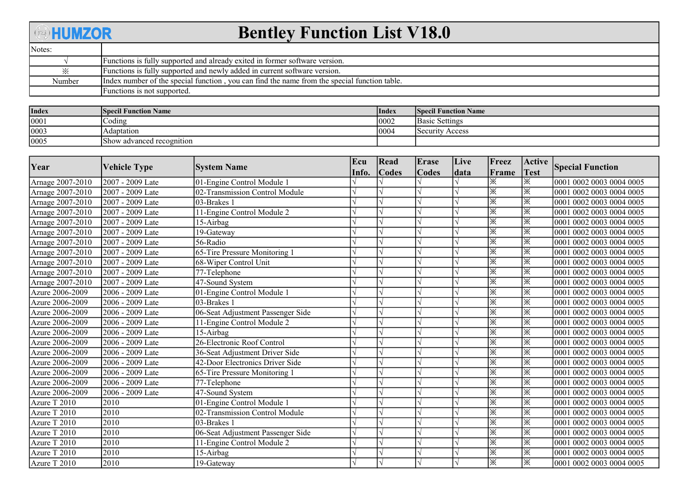## **BHUMZOR**

## Bentley Function List V18.0

| Notes: |                                                                                              |
|--------|----------------------------------------------------------------------------------------------|
|        | Functions is fully supported and already exited in former software version.                  |
| ⋇      | Functions is fully supported and newly added in current software version.                    |
| Number | Index number of the special function, you can find the name from the special function table. |
|        | Functions is not supported.                                                                  |

| <b>Index</b> | <b> Specil Function Name</b> | <b>Index</b> | <b>Specil Function Name</b> |
|--------------|------------------------------|--------------|-----------------------------|
| 0001         | Coding                       | 0002         | Basic Settings              |
| 0003         | Adaptation                   | 0004         | Security Access             |
| 0005         | [Show advanced recognition]  |              |                             |

| Year             | <b>Vehicle Type</b> | <b>System Name</b>                | Ecu   | Read         | <b>Erase</b> | Live | Freez | <b>Active</b> | <b>Special Function</b>  |
|------------------|---------------------|-----------------------------------|-------|--------------|--------------|------|-------|---------------|--------------------------|
|                  |                     |                                   | Info. | <b>Codes</b> | <b>Codes</b> | data | Frame | <b>Test</b>   |                          |
| Arnage 2007-2010 | 2007 - 2009 Late    | 01-Engine Control Module          |       |              |              |      | Ж     | ※             | 0001 0002 0003 0004 0005 |
| Arnage 2007-2010 | 2007 - 2009 Late    | 02-Transmission Control Module    |       |              |              |      | ☀     | ※             | 0001 0002 0003 0004 0005 |
| Arnage 2007-2010 | 2007 - 2009 Late    | 03-Brakes 1                       |       |              |              |      | 浽     | ※             | 0001 0002 0003 0004 0005 |
| Arnage 2007-2010 | 2007 - 2009 Late    | 11-Engine Control Module 2        |       |              |              |      | ※     | ※             | 0001 0002 0003 0004 0005 |
| Arnage 2007-2010 | 2007 - 2009 Late    | 15-Airbag                         |       |              |              |      | ※     | ※             | 0001 0002 0003 0004 0005 |
| Arnage 2007-2010 | $2007 - 2009$ Late  | 19-Gateway                        |       |              |              |      | ※     | ※             | 0001 0002 0003 0004 0005 |
| Arnage 2007-2010 | 2007 - 2009 Late    | 56-Radio                          |       |              |              |      | ※     | ※             | 0001 0002 0003 0004 0005 |
| Arnage 2007-2010 | 2007 - 2009 Late    | 65-Tire Pressure Monitoring 1     |       |              |              |      | 浽     | ※             | 0001 0002 0003 0004 0005 |
| Arnage 2007-2010 | 2007 - 2009 Late    | 68-Wiper Control Unit             |       |              |              |      | 浽     | ※             | 0001 0002 0003 0004 0005 |
| Arnage 2007-2010 | 2007 - 2009 Late    | 77-Telephone                      |       |              |              |      | ※     | ※             | 0001 0002 0003 0004 0005 |
| Arnage 2007-2010 | 2007 - 2009 Late    | 47-Sound System                   |       |              |              |      | ※     | ※             | 0001 0002 0003 0004 0005 |
| Azure 2006-2009  | 2006 - 2009 Late    | 01-Engine Control Module 1        |       |              |              |      | ※     | ※             | 0001 0002 0003 0004 0005 |
| Azure 2006-2009  | 2006 - 2009 Late    | 03-Brakes 1                       |       |              |              |      | ※     | ※             | 0001 0002 0003 0004 0005 |
| Azure 2006-2009  | 2006 - 2009 Late    | 06-Seat Adjustment Passenger Side |       |              |              |      | ⋇     | ※             | 0001 0002 0003 0004 0005 |
| Azure 2006-2009  | 2006 - 2009 Late    | 11-Engine Control Module 2        |       |              |              |      | ※     | ※             | 0001 0002 0003 0004 0005 |
| Azure 2006-2009  | 2006 - 2009 Late    | 15-Airbag                         |       |              |              |      | ※     | ※             | 0001 0002 0003 0004 0005 |
| Azure 2006-2009  | 2006 - 2009 Late    | 26-Electronic Roof Control        |       |              |              |      | ※     | ※             | 0001 0002 0003 0004 0005 |
| Azure 2006-2009  | 2006 - 2009 Late    | 36-Seat Adjustment Driver Side    |       |              |              |      | ※     | ※             | 0001 0002 0003 0004 0005 |
| Azure 2006-2009  | 2006 - 2009 Late    | 42-Door Electronics Driver Side   |       |              |              |      | ※     | ※             | 0001 0002 0003 0004 0005 |
| Azure 2006-2009  | 2006 - 2009 Late    | 65-Tire Pressure Monitoring 1     |       |              |              |      | ※     | ※             | 0001 0002 0003 0004 0005 |
| Azure 2006-2009  | 2006 - 2009 Late    | 77-Telephone                      |       |              |              |      | ※     | ※             | 0001 0002 0003 0004 0005 |
| Azure 2006-2009  | 2006 - 2009 Late    | 47-Sound System                   |       |              |              |      | ※     | ※             | 0001 0002 0003 0004 0005 |
| Azure T 2010     | 2010                | 01-Engine Control Module          |       |              |              |      | ※     | ※             | 0001 0002 0003 0004 0005 |
| Azure T 2010     | 2010                | 02-Transmission Control Module    |       |              |              |      | ※     | ※             | 0001 0002 0003 0004 0005 |
| Azure T 2010     | 2010                | 03-Brakes 1                       |       |              |              |      | ※     | ※             | 0001 0002 0003 0004 0005 |
| Azure T 2010     | 2010                | 06-Seat Adjustment Passenger Side |       |              |              |      | ※     | ※             | 0001 0002 0003 0004 0005 |
| Azure T 2010     | 2010                | 11-Engine Control Module 2        |       |              |              |      | ※     | ※             | 0001 0002 0003 0004 0005 |
| Azure T 2010     | 2010                | 15-Airbag                         |       |              |              |      | ※     | ※             | 0001 0002 0003 0004 0005 |
| Azure T 2010     | 2010                | 19-Gateway                        |       |              |              |      | ※     | l※            | 0001 0002 0003 0004 0005 |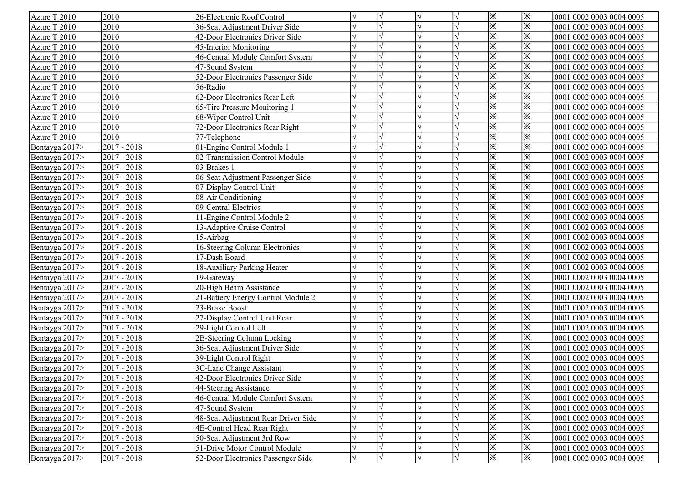| Azure T 2010   | 2010          | 26-Electronic Roof Control          |            |            | V |            | ※ | ※  | 0001 0002 0003 0004 0005 |
|----------------|---------------|-------------------------------------|------------|------------|---|------------|---|----|--------------------------|
| Azure T 2010   | 2010          | 36-Seat Adjustment Driver Side      |            |            |   |            | ※ | ※  | 0001 0002 0003 0004 0005 |
| Azure T 2010   | 2010          | 42-Door Electronics Driver Side     |            |            |   |            | ※ | ※  | 0001 0002 0003 0004 0005 |
| Azure T 2010   | 2010          | 45-Interior Monitoring              |            |            |   |            | ※ | ※  | 0001 0002 0003 0004 0005 |
| Azure T 2010   | 2010          | 46-Central Module Comfort System    |            |            |   |            | ※ | ፠  | 0001 0002 0003 0004 0005 |
| Azure T 2010   | 2010          | 47-Sound System                     |            |            |   |            | ※ | ፠  | 0001 0002 0003 0004 0005 |
| Azure T 2010   | 2010          | 52-Door Electronics Passenger Side  |            |            |   |            | ※ | ፠  | 0001 0002 0003 0004 0005 |
| Azure T 2010   | 2010          | 56-Radio                            |            |            |   |            | ⋇ | Ж  | 0001 0002 0003 0004 0005 |
| Azure T 2010   | 2010          | 62-Door Electronics Rear Left       |            |            |   |            | ※ | Ж  | 0001 0002 0003 0004 0005 |
| Azure T 2010   | 2010          | 65-Tire Pressure Monitoring 1       |            |            |   |            | Ж | Ж  | 0001 0002 0003 0004 0005 |
| Azure T 2010   | 2010          | 68-Wiper Control Unit               |            |            |   |            | Ж | Ж  | 0001 0002 0003 0004 0005 |
| Azure T 2010   | 2010          | 72-Door Electronics Rear Right      |            |            |   |            | ※ | ※  | 0001 0002 0003 0004 0005 |
| Azure T 2010   | 2010          | 77-Telephone                        |            |            |   |            | Ж | Ж  | 0001 0002 0003 0004 0005 |
| Bentayga 2017> | 2017 - 2018   | 01-Engine Control Module 1          |            |            |   |            | Ж | Ж  | 0001 0002 0003 0004 0005 |
| Bentayga 2017> | 2017 - 2018   | 02-Transmission Control Module      |            |            |   |            | ※ | Ж  | 0001 0002 0003 0004 0005 |
| Bentayga 2017> | 2017 - 2018   | 03-Brakes 1                         |            |            |   |            | ※ | ※  | 0001 0002 0003 0004 0005 |
| Bentayga 2017> | 2017 - 2018   | 06-Seat Adjustment Passenger Side   |            |            |   |            | ※ | ※  | 0001 0002 0003 0004 0005 |
| Bentayga 2017> | 2017 - 2018   | 07-Display Control Unit             |            |            |   |            | ※ | Ж  | 0001 0002 0003 0004 0005 |
| Bentayga 2017> | 2017 - 2018   | 08-Air Conditioning                 |            |            |   |            | ※ | ※  | 0001 0002 0003 0004 0005 |
| Bentayga 2017> | 2017 - 2018   | 09-Central Electrics                |            |            |   |            | ※ | ※  | 0001 0002 0003 0004 0005 |
| Bentayga 2017> | $2017 - 2018$ | 11-Engine Control Module 2          |            |            |   |            | ☀ | ※  | 0001 0002 0003 0004 0005 |
| Bentayga 2017> | 2017 - 2018   | 13-Adaptive Cruise Control          |            |            |   |            | ፠ | ⋇  | 0001 0002 0003 0004 0005 |
| Bentayga 2017> | 2017 - 2018   | 15-Airbag                           |            |            |   |            | ※ | ⋇  | 0001 0002 0003 0004 0005 |
| Bentayga 2017> | 2017 - 2018   | 16-Steering Column Electronics      |            |            |   |            | ⋇ | ⋇  | 0001 0002 0003 0004 0005 |
| Bentayga 2017> | 2017 - 2018   | 17-Dash Board                       |            |            |   |            | Ж | ፠  | 0001 0002 0003 0004 0005 |
| Bentayga 2017> | 2017 - 2018   | 18-Auxiliary Parking Heater         |            |            |   |            | ☀ | ※  | 0001 0002 0003 0004 0005 |
| Bentayga 2017> | 2017 - 2018   | 19-Gateway                          |            |            |   |            | ☀ | ※  | 0001 0002 0003 0004 0005 |
| Bentayga 2017> | 2017 - 2018   | 20-High Beam Assistance             |            |            |   |            | ※ | ※  | 0001 0002 0003 0004 0005 |
| Bentayga 2017> | 2017 - 2018   | 21-Battery Energy Control Module 2  |            |            |   |            | ※ | ※  | 0001 0002 0003 0004 0005 |
| Bentayga 2017> | 2017 - 2018   | 23-Brake Boost                      |            |            |   |            | ※ | ※  | 0001 0002 0003 0004 0005 |
| Bentayga 2017> | 2017 - 2018   | 27-Display Control Unit Rear        |            |            |   |            | ☀ | ※  | 0001 0002 0003 0004 0005 |
| Bentayga 2017> | $2017 - 2018$ | 29-Light Control Left               |            |            |   |            | ※ | ※  | 0001 0002 0003 0004 0005 |
| Bentayga 2017> | 2017 - 2018   | 2B-Steering Column Locking          | $\sqrt{ }$ |            |   |            | ☀ | ※  | 0001 0002 0003 0004 0005 |
| Bentayga 2017> | 2017 - 2018   | 36-Seat Adjustment Driver Side      |            |            |   |            | ※ | ※  | 0001 0002 0003 0004 0005 |
| Bentayga 2017> | 2017 - 2018   | 39-Light Control Right              |            |            |   |            | ※ | ※  | 0001 0002 0003 0004 0005 |
| Bentayga 2017> | 2017 - 2018   | 3C-Lane Change Assistant            |            |            |   |            | ※ | ※  | 0001 0002 0003 0004 0005 |
| Bentayga 2017> | 2017 - 2018   | 42-Door Electronics Driver Side     | N          |            | V | V          | ※ | I⋇ | 0001 0002 0003 0004 0005 |
| Bentayga 2017> | 2017 - 2018   | 44-Steering Assistance              | $\sqrt{}$  |            |   |            | ☀ | ※  | 0001 0002 0003 0004 0005 |
| Bentayga 2017> | 2017 - 2018   | 46-Central Module Comfort System    |            |            |   |            | ※ | ※  | 0001 0002 0003 0004 0005 |
| Bentayga 2017> | 2017 - 2018   | 47-Sound System                     |            |            |   |            | Ж | ※  | 0001 0002 0003 0004 0005 |
| Bentayga 2017> | 2017 - 2018   | 48-Seat Adjustment Rear Driver Side | N          |            |   |            | Ж | Ж  | 0001 0002 0003 0004 0005 |
| Bentayga 2017> | 2017 - 2018   | 4E-Control Head Rear Right          |            |            |   |            | ⋇ | ※  | 0001 0002 0003 0004 0005 |
| Bentayga 2017> | 2017 - 2018   | 50-Seat Adjustment 3rd Row          |            |            |   |            | ※ | Ж  | 0001 0002 0003 0004 0005 |
| Bentayga 2017> | 2017 - 2018   | 51-Drive Motor Control Module       |            |            |   |            | ※ | ※  | 0001 0002 0003 0004 0005 |
| Bentayga 2017> | 2017 - 2018   | 52-Door Electronics Passenger Side  | V          | $\sqrt{ }$ | V | $\sqrt{ }$ | ※ | ※  | 0001 0002 0003 0004 0005 |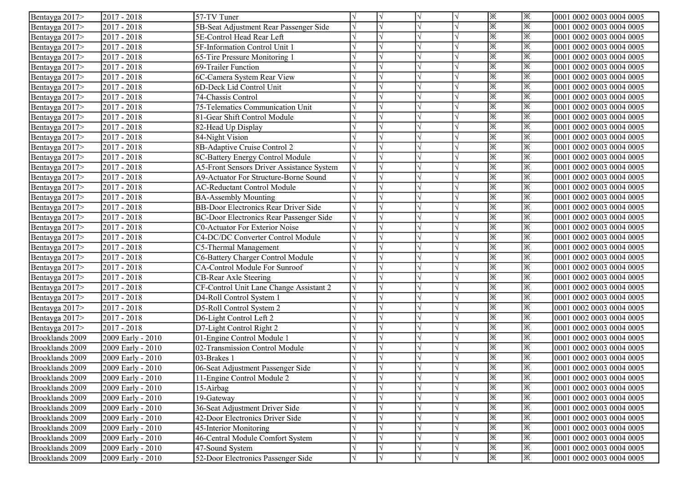| Bentayga 2017>  | $2017 - 2018$     | 57-TV Tuner                                      |  |            |                       | ※  | l※  | 0001 0002 0003 0004 0005 |
|-----------------|-------------------|--------------------------------------------------|--|------------|-----------------------|----|-----|--------------------------|
| Bentayga 2017>  | $2017 - 2018$     | 5B-Seat Adjustment Rear Passenger Side           |  |            |                       | ※  | ※   | 0001 0002 0003 0004 0005 |
| Bentayga 2017>  | $2017 - 2018$     | 5E-Control Head Rear Left                        |  | $\sqrt{ }$ |                       | ※  | ※   | 0001 0002 0003 0004 0005 |
| Bentayga 2017>  | $2017 - 2018$     | 5F-Information Control Unit 1                    |  |            |                       | ※  | ※   | 0001 0002 0003 0004 0005 |
| Bentayga 2017>  | $2017 - 2018$     | 65-Tire Pressure Monitoring 1                    |  |            |                       | ※  | ※   | 0001 0002 0003 0004 0005 |
| Bentayga 2017>  | 2017 - 2018       | 69-Trailer Function                              |  |            |                       | ※  | ※   | 0001 0002 0003 0004 0005 |
| Bentayga 2017>  | 2017 - 2018       | 6C-Camera System Rear View                       |  |            |                       | ※  | ※   | 0001 0002 0003 0004 0005 |
| Bentayga 2017>  | $2017 - 2018$     | 6D-Deck Lid Control Unit                         |  |            |                       | ※  | ※   | 0001 0002 0003 0004 0005 |
| Bentayga 2017>  | $2017 - 2018$     | 74-Chassis Control                               |  |            |                       | ※  | ※   | 0001 0002 0003 0004 0005 |
| Bentayga 2017>  | $2017 - 2018$     | 75-Telematics Communication Unit                 |  |            |                       | ※  | ※   | 0001 0002 0003 0004 0005 |
| Bentayga 2017>  | 2017 - 2018       | 81-Gear Shift Control Module                     |  |            |                       | ※  | ※   | 0001 0002 0003 0004 0005 |
| Bentayga 2017>  | 2017 - 2018       | 82-Head Up Display                               |  |            |                       | Ж  | Ж   | 0001 0002 0003 0004 0005 |
| Bentayga 2017>  | 2017 - 2018       | 84-Night Vision                                  |  |            |                       | ※  | ※   | 0001 0002 0003 0004 0005 |
| Bentayga 2017>  | $2017 - 2018$     | 8B-Adaptive Cruise Control 2                     |  |            |                       | ※  | ※   | 0001 0002 0003 0004 0005 |
| Bentayga 2017>  | $2017 - 2018$     | 8C-Battery Energy Control Module                 |  |            |                       | ※  | ※   | 0001 0002 0003 0004 0005 |
| Bentayga 2017>  | $2017 - 2018$     | <b>A5-Front Sensors Driver Assistance System</b> |  |            |                       | Ж  | ※   | 0001 0002 0003 0004 0005 |
| Bentayga 2017>  | $2017 - 2018$     | A9-Actuator For Structure-Borne Sound            |  |            |                       | Ж  | ※   | 0001 0002 0003 0004 0005 |
| Bentayga 2017>  | $2017 - 2018$     | <b>AC-Reductant Control Module</b>               |  |            |                       | ※  | ※   | 0001 0002 0003 0004 0005 |
| Bentayga 2017>  | $2017 - 2018$     | <b>BA-Assembly Mounting</b>                      |  |            |                       | ☀  | ※   | 0001 0002 0003 0004 0005 |
| Bentayga 2017>  | $2017 - 2018$     | <b>BB-Door Electronics Rear Driver Side</b>      |  |            |                       | ※  | ※   | 0001 0002 0003 0004 0005 |
| Bentayga 2017>  | $2017 - 2018$     | <b>BC-Door Electronics Rear Passenger Side</b>   |  |            |                       | ☀  | ※   | 0001 0002 0003 0004 0005 |
| Bentayga 2017>  | $2017 - 2018$     | <b>C0-Actuator For Exterior Noise</b>            |  |            |                       | ※  | ※   | 0001 0002 0003 0004 0005 |
| Bentayga 2017>  | 2017 - 2018       | C4-DC/DC Converter Control Module                |  |            |                       | ☀  | ☀   | 0001 0002 0003 0004 0005 |
| Bentayga 2017>  | 2017 - 2018       | C5-Thermal Management                            |  |            |                       | Ж  | ※   | 0001 0002 0003 0004 0005 |
| Bentayga 2017>  | $2017 - 2018$     | C6-Battery Charger Control Module                |  |            |                       | ※  | ※   | 0001 0002 0003 0004 0005 |
| Bentayga 2017>  | $2017 - 2018$     | CA-Control Module For Sunroof                    |  |            |                       | ※  | ※   | 0001 0002 0003 0004 0005 |
| Bentayga 2017>  | 2017 - 2018       | CB-Rear Axle Steering                            |  |            |                       | ※  | l※  | 0001 0002 0003 0004 0005 |
| Bentayga 2017>  | 2017 - 2018       | CF-Control Unit Lane Change Assistant 2          |  |            |                       | ※  | ※   | 0001 0002 0003 0004 0005 |
| Bentayga 2017>  | 2017 - 2018       | D4-Roll Control System 1                         |  |            |                       | ※  | ※   | 0001 0002 0003 0004 0005 |
| Bentayga 2017>  | 2017 - 2018       | D5-Roll Control System 2                         |  |            |                       | ※  | ※   | 0001 0002 0003 0004 0005 |
| Bentayga 2017>  | $2017 - 2018$     | D6-Light Control Left 2                          |  |            | $\overline{\sqrt{ }}$ | ※  | ※   | 0001 0002 0003 0004 0005 |
| Bentayga 2017>  | $2017 - 2018$     | D7-Light Control Right 2                         |  | $\sqrt{ }$ |                       | ※  | ※   | 0001 0002 0003 0004 0005 |
| Brooklands 2009 | 2009 Early - 2010 | 01-Engine Control Module 1                       |  | $\sqrt{ }$ |                       | ※  | ※   | 0001 0002 0003 0004 0005 |
| Brooklands 2009 | 2009 Early - 2010 | 02-Transmission Control Module                   |  |            |                       | ※  | ※   | 0001 0002 0003 0004 0005 |
| Brooklands 2009 | 2009 Early - 2010 | 03-Brakes 1                                      |  | $\sqrt{ }$ |                       | ※  | ※   | 0001 0002 0003 0004 0005 |
| Brooklands 2009 | 2009 Early - 2010 | 06-Seat Adjustment Passenger Side                |  |            |                       | ※  | ※   | 0001 0002 0003 0004 0005 |
| Brooklands 2009 | 2009 Early - 2010 | 11-Engine Control Module 2                       |  | V          | I٧                    | I⋇ | IЖ. | 0001 0002 0003 0004 0005 |
| Brooklands 2009 | 2009 Early - 2010 | 15-Airbag                                        |  |            |                       | ※  | ※   | 0001 0002 0003 0004 0005 |
| Brooklands 2009 | 2009 Early - 2010 | 19-Gateway                                       |  |            |                       | ※  | ※   | 0001 0002 0003 0004 0005 |
| Brooklands 2009 | 2009 Early - 2010 | 36-Seat Adjustment Driver Side                   |  |            |                       | ※  | ※   | 0001 0002 0003 0004 0005 |
| Brooklands 2009 | 2009 Early - 2010 | 42-Door Electronics Driver Side                  |  |            |                       | ※  | ※   | 0001 0002 0003 0004 0005 |
| Brooklands 2009 | 2009 Early - 2010 | 45-Interior Monitoring                           |  |            |                       | Ж  | Ж   | 0001 0002 0003 0004 0005 |
| Brooklands 2009 | 2009 Early - 2010 | 46-Central Module Comfort System                 |  |            |                       | Ж  | ☀   | 0001 0002 0003 0004 0005 |
| Brooklands 2009 | 2009 Early - 2010 | 47-Sound System                                  |  |            |                       | ※  | ☀   | 0001 0002 0003 0004 0005 |
| Brooklands 2009 | 2009 Early - 2010 | 52-Door Electronics Passenger Side               |  | $\sqrt{}$  |                       | ※  | ※   | 0001 0002 0003 0004 0005 |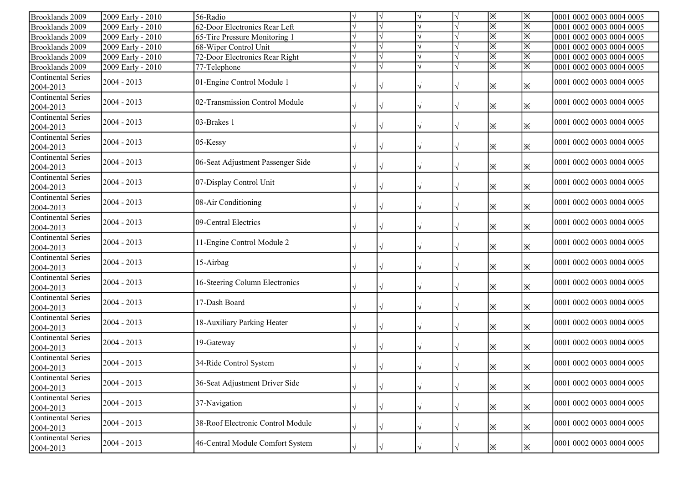| Brooklands 2009                        | 2009 Early - 2010 | 56-Radio                          |           |           | ※ | ※ | 0001 0002 0003 0004 0005  |
|----------------------------------------|-------------------|-----------------------------------|-----------|-----------|---|---|---------------------------|
| Brooklands 2009                        | 2009 Early - 2010 | 62-Door Electronics Rear Left     |           |           | ※ | ※ | 0001 0002 0003 0004 0005  |
| Brooklands 2009                        | 2009 Early - 2010 | 65-Tire Pressure Monitoring 1     |           |           | ※ | ※ | 0001 0002 0003 0004 0005  |
| Brooklands 2009                        | 2009 Early - 2010 | 68-Wiper Control Unit             |           |           | ※ | ※ | 0001 0002 0003 0004 0005  |
| Brooklands 2009                        | 2009 Early - 2010 | 72-Door Electronics Rear Right    |           |           | ※ | ※ | 0001 0002 0003 0004 0005  |
| Brooklands 2009                        | 2009 Early - 2010 | 77-Telephone                      |           |           | ※ | ※ | 0001 0002 0003 0004 0005  |
| <b>Continental Series</b><br>2004-2013 | $2004 - 2013$     | 01-Engine Control Module 1        |           |           | ※ | Ж | 0001 0002 0003 0004 0005  |
| <b>Continental Series</b><br>2004-2013 | $2004 - 2013$     | 02-Transmission Control Module    |           |           | ※ | Ж | 0001 0002 0003 0004 0005  |
| Continental Series<br>2004-2013        | $2004 - 2013$     | 03-Brakes 1                       |           |           | ※ | Ж | 0001 0002 0003 0004 0005  |
| <b>Continental Series</b><br>2004-2013 | $2004 - 2013$     | 05-Kessy                          |           |           | ※ | Ж | 0001 0002 0003 0004 0005  |
| <b>Continental Series</b><br>2004-2013 | $2004 - 2013$     | 06-Seat Adjustment Passenger Side |           |           | ※ | ※ | 0001 0002 0003 0004 0005  |
| <b>Continental Series</b><br>2004-2013 | $2004 - 2013$     | 07-Display Control Unit           |           |           | ※ | ※ | 0001 0002 0003 0004 0005  |
| <b>Continental Series</b><br>2004-2013 | $2004 - 2013$     | 08-Air Conditioning               |           | V         | ※ | Ж | 0001 0002 0003 0004 0005  |
| Continental Series<br>2004-2013        | $2004 - 2013$     | 09-Central Electrics              |           |           | ※ | Ж | 0001 0002 0003 0004 0005  |
| <b>Continental Series</b><br>2004-2013 | $2004 - 2013$     | 11-Engine Control Module 2        |           |           | ☀ | Ж | 0001 0002 0003 0004 0005  |
| <b>Continental Series</b><br>2004-2013 | $2004 - 2013$     | 15-Airbag                         |           |           | ※ | ※ | 0001 0002 0003 0004 0005  |
| <b>Continental Series</b><br>2004-2013 | $2004 - 2013$     | 16-Steering Column Electronics    |           |           | Ж | Ж | 0001 0002 0003 0004 0005  |
| <b>Continental Series</b><br>2004-2013 | $2004 - 2013$     | 17-Dash Board                     |           |           | ※ | Ж | 0001 0002 0003 0004 0005  |
| <b>Continental Series</b><br>2004-2013 | $2004 - 2013$     | 18-Auxiliary Parking Heater       |           |           | Ж | Ж | 0001 0002 0003 0004 0005  |
| <b>Continental Series</b><br>2004-2013 | $2004 - 2013$     | 19-Gateway                        |           |           | ※ | ※ | 0001 0002 0003 0004 0005  |
| <b>Continental Series</b><br>2004-2013 | $2004 - 2013$     | 34-Ride Control System            |           |           | ※ | ※ | 10001 0002 0003 0004 0005 |
| Continental Series<br>2004-2013        | $2004 - 2013$     | 36-Seat Adjustment Driver Side    | $\sqrt{}$ | $\sqrt{}$ | ⋇ | ※ | 0001 0002 0003 0004 0005  |
| <b>Continental Series</b><br>2004-2013 | $2004 - 2013$     | 37-Navigation                     | $\sqrt{}$ | V         | ※ | ※ | 0001 0002 0003 0004 0005  |
| <b>Continental Series</b><br>2004-2013 | $2004 - 2013$     | 38-Roof Electronic Control Module |           |           | ⋇ | ※ | 0001 0002 0003 0004 0005  |
| <b>Continental Series</b><br>2004-2013 | $2004 - 2013$     | 46-Central Module Comfort System  |           | $\sqrt{}$ | ☀ | ※ | 0001 0002 0003 0004 0005  |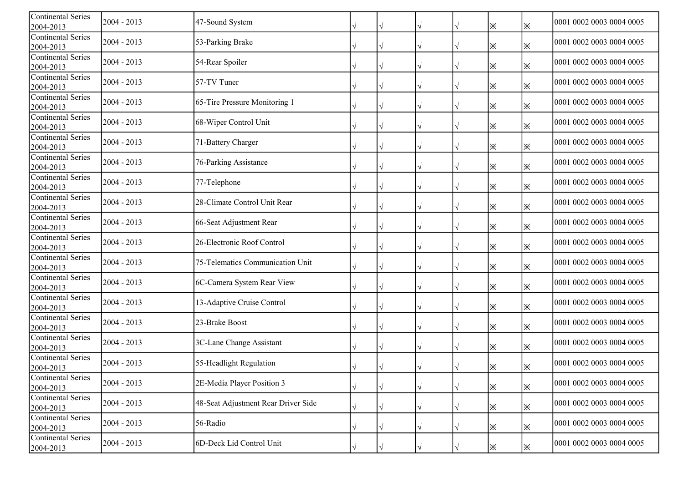| <b>Continental Series</b><br>2004-2013 | 2004 - 2013   | 47-Sound System                     |           |           |           |                   | Ж | ※ | 0001 0002 0003 0004 0005 |
|----------------------------------------|---------------|-------------------------------------|-----------|-----------|-----------|-------------------|---|---|--------------------------|
| <b>Continental Series</b><br>2004-2013 | $2004 - 2013$ | 53-Parking Brake                    |           |           |           |                   | Ж | ※ | 0001 0002 0003 0004 0005 |
| <b>Continental Series</b><br>2004-2013 | $2004 - 2013$ | 54-Rear Spoiler                     |           |           |           |                   | Ж | ※ | 0001 0002 0003 0004 0005 |
| <b>Continental Series</b><br>2004-2013 | $2004 - 2013$ | 57-TV Tuner                         |           |           |           |                   | Ж | ※ | 0001 0002 0003 0004 0005 |
| <b>Continental Series</b><br>2004-2013 | $2004 - 2013$ | 65-Tire Pressure Monitoring 1       |           |           |           |                   | Ж | ※ | 0001 0002 0003 0004 0005 |
| <b>Continental Series</b><br>2004-2013 | 2004 - 2013   | 68-Wiper Control Unit               |           |           |           |                   | Ж | Ж | 0001 0002 0003 0004 0005 |
| <b>Continental Series</b><br>2004-2013 | 2004 - 2013   | 71-Battery Charger                  |           |           |           |                   | Ж | ※ | 0001 0002 0003 0004 0005 |
| <b>Continental Series</b><br>2004-2013 | 2004 - 2013   | 76-Parking Assistance               |           |           |           |                   | Ж | ※ | 0001 0002 0003 0004 0005 |
| <b>Continental Series</b><br>2004-2013 | 2004 - 2013   | 77-Telephone                        |           |           |           |                   | ※ | ※ | 0001 0002 0003 0004 0005 |
| <b>Continental Series</b><br>2004-2013 | 2004 - 2013   | 28-Climate Control Unit Rear        |           |           |           |                   | ※ | ※ | 0001 0002 0003 0004 0005 |
| <b>Continental Series</b><br>2004-2013 | $2004 - 2013$ | 66-Seat Adjustment Rear             |           |           |           |                   | ※ | ※ | 0001 0002 0003 0004 0005 |
| <b>Continental Series</b><br>2004-2013 | 2004 - 2013   | 26-Electronic Roof Control          |           |           |           |                   | Ж | ※ | 0001 0002 0003 0004 0005 |
| <b>Continental Series</b><br>2004-2013 | 2004 - 2013   | 75-Telematics Communication Unit    |           |           |           |                   | Ж | ※ | 0001 0002 0003 0004 0005 |
| Continental Series<br>2004-2013        | 2004 - 2013   | 6C-Camera System Rear View          |           |           |           |                   | ⋇ | ※ | 0001 0002 0003 0004 0005 |
| <b>Continental Series</b><br>2004-2013 | 2004 - 2013   | 13-Adaptive Cruise Control          |           |           |           |                   | ※ | ※ | 0001 0002 0003 0004 0005 |
| <b>Continental Series</b><br>2004-2013 | 2004 - 2013   | 23-Brake Boost                      |           |           | V         |                   | ※ | ※ | 0001 0002 0003 0004 0005 |
| <b>Continental Series</b><br>2004-2013 | 2004 - 2013   | 3C-Lane Change Assistant            |           |           |           |                   | ※ | ⋇ | 0001 0002 0003 0004 0005 |
| <b>Continental Series</b><br>2004-2013 | 2004 - 2013   | 55-Headlight Regulation             |           |           |           |                   | ※ | ⋇ | 0001 0002 0003 0004 0005 |
| Continental Series<br>2004-2013        | $2004 - 2013$ | 2E-Media Player Position 3          | $\sqrt{}$ | $\sqrt{}$ | $\sqrt{}$ | $\overline{\vee}$ | ⋇ | ⋇ | 0001 0002 0003 0004 0005 |
| <b>Continental Series</b><br>2004-2013 | $2004 - 2013$ | 48-Seat Adjustment Rear Driver Side |           |           | V         |                   | ⋇ | ⋇ | 0001 0002 0003 0004 0005 |
| <b>Continental Series</b><br>2004-2013 | $2004 - 2013$ | 56-Radio                            |           |           |           |                   | ⋇ | ⋇ | 0001 0002 0003 0004 0005 |
| <b>Continental Series</b><br>2004-2013 | $2004 - 2013$ | 6D-Deck Lid Control Unit            |           |           |           |                   | ⋇ | ⋇ | 0001 0002 0003 0004 0005 |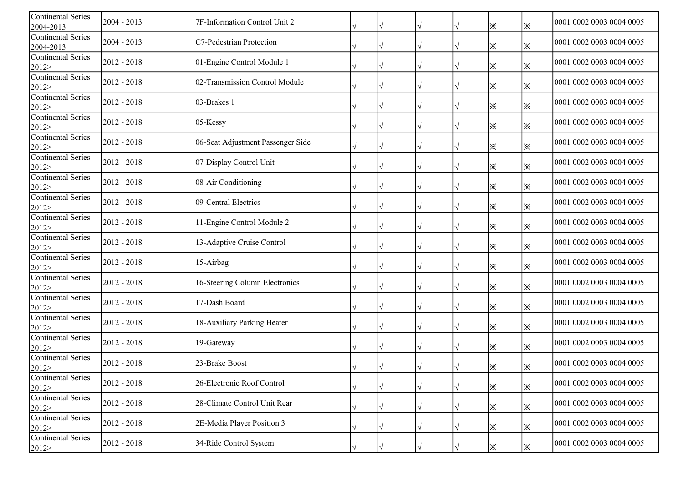| <b>Continental Series</b><br>2004-2013 | 2004 - 2013   | 7F-Information Control Unit 2     |           |            | ※ | ※ | 0001 0002 0003 0004 0005 |
|----------------------------------------|---------------|-----------------------------------|-----------|------------|---|---|--------------------------|
| <b>Continental Series</b><br>2004-2013 | $2004 - 2013$ | C7-Pedestrian Protection          |           |            | ※ | ※ | 0001 0002 0003 0004 0005 |
| <b>Continental Series</b><br>2012>     | $2012 - 2018$ | 01-Engine Control Module 1        |           |            | Ж | ※ | 0001 0002 0003 0004 0005 |
| Continental Series<br>2012             | 2012 - 2018   | 02-Transmission Control Module    |           |            | ⋇ | ⋇ | 0001 0002 0003 0004 0005 |
| <b>Continental Series</b><br>2012>     | $2012 - 2018$ | 03-Brakes 1                       |           |            | Ж | ※ | 0001 0002 0003 0004 0005 |
| <b>Continental Series</b><br>2012>     | $2012 - 2018$ | 05-Kessy                          |           |            | ※ | ※ | 0001 0002 0003 0004 0005 |
| <b>Continental Series</b><br>2012>     | $2012 - 2018$ | 06-Seat Adjustment Passenger Side |           |            | ※ | ※ | 0001 0002 0003 0004 0005 |
| <b>Continental Series</b><br>2012>     | $2012 - 2018$ | 07-Display Control Unit           |           |            | Ж | ※ | 0001 0002 0003 0004 0005 |
| <b>Continental Series</b><br>2012>     | $2012 - 2018$ | 08-Air Conditioning               |           |            | ※ | ※ | 0001 0002 0003 0004 0005 |
| <b>Continental Series</b><br>2012>     | $2012 - 2018$ | 09-Central Electrics              |           |            | ※ | ※ | 0001 0002 0003 0004 0005 |
| <b>Continental Series</b><br>2012>     | $2012 - 2018$ | 11-Engine Control Module 2        |           |            | ※ | ※ | 0001 0002 0003 0004 0005 |
| <b>Continental Series</b><br>2012>     | $2012 - 2018$ | 13-Adaptive Cruise Control        |           |            | ※ | ※ | 0001 0002 0003 0004 0005 |
| <b>Continental Series</b><br>2012>     | $2012 - 2018$ | 15-Airbag                         |           |            | ※ | Ж | 0001 0002 0003 0004 0005 |
| <b>Continental Series</b><br>2012>     | $2012 - 2018$ | 16-Steering Column Electronics    |           |            | ※ | ※ | 0001 0002 0003 0004 0005 |
| <b>Continental Series</b><br>2012>     | $2012 - 2018$ | 17-Dash Board                     |           |            | ※ | ※ | 0001 0002 0003 0004 0005 |
| <b>Continental Series</b><br>2012>     | 2012 - 2018   | 18-Auxiliary Parking Heater       |           |            | ※ | ※ | 0001 0002 0003 0004 0005 |
| <b>Continental Series</b><br>2012>     | $2012 - 2018$ | 19-Gateway                        |           |            | ※ | ※ | 0001 0002 0003 0004 0005 |
| <b>Continental Series</b><br>2012>     | 2012 - 2018   | 23-Brake Boost                    |           |            | ※ | ※ | 0001 0002 0003 0004 0005 |
| Continental Series<br>2012>            | 2012 - 2018   | 26-Electronic Roof Control        | $\sqrt{}$ | $\sqrt{ }$ | ⋇ | ⋇ | 0001 0002 0003 0004 0005 |
| <b>Continental Series</b><br>2012>     | 2012 - 2018   | 28-Climate Control Unit Rear      |           |            | ※ | ⋇ | 0001 0002 0003 0004 0005 |
| <b>Continental Series</b><br>2012>     | $2012 - 2018$ | 2E-Media Player Position 3        |           |            | ※ | ※ | 0001 0002 0003 0004 0005 |
| <b>Continental Series</b><br>2012>     | $2012 - 2018$ | 34-Ride Control System            |           |            | ⋇ | ⋇ | 0001 0002 0003 0004 0005 |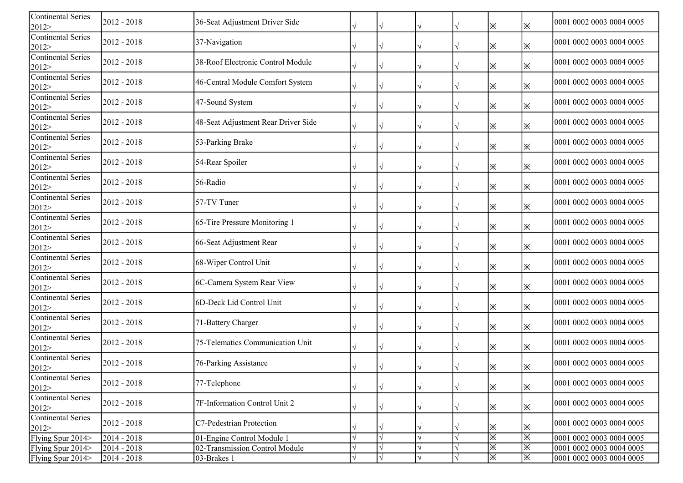| <b>Continental Series</b><br>2012>          | 2012 - 2018   | 36-Seat Adjustment Driver Side      |           |           |                   | ※ | ※ | 0001 0002 0003 0004 0005 |
|---------------------------------------------|---------------|-------------------------------------|-----------|-----------|-------------------|---|---|--------------------------|
| <b>Continental Series</b><br>2012           | $2012 - 2018$ | 37-Navigation                       |           |           |                   | ※ | ※ | 0001 0002 0003 0004 0005 |
| <b>Continental Series</b><br>2012>          | $2012 - 2018$ | 38-Roof Electronic Control Module   |           |           |                   | Ж | ※ | 0001 0002 0003 0004 0005 |
| <b>Continental Series</b><br>2012>          | $2012 - 2018$ | 46-Central Module Comfort System    |           |           |                   | Ж | ※ | 0001 0002 0003 0004 0005 |
| <b>Continental Series</b><br>2012>          | $2012 - 2018$ | 47-Sound System                     |           |           |                   | Ж | Ж | 0001 0002 0003 0004 0005 |
| Continental Series<br>2012>                 | $2012 - 2018$ | 48-Seat Adjustment Rear Driver Side |           |           |                   | ※ | ※ | 0001 0002 0003 0004 0005 |
| <b>Continental Series</b><br>2012>          | 2012 - 2018   | 53-Parking Brake                    |           |           |                   | ※ | ※ | 0001 0002 0003 0004 0005 |
| <b>Continental Series</b><br>2012>          | $2012 - 2018$ | 54-Rear Spoiler                     |           |           |                   | Ж | ※ | 0001 0002 0003 0004 0005 |
| <b>Continental Series</b><br>2012>          | 2012 - 2018   | 56-Radio                            |           |           |                   | ※ | ※ | 0001 0002 0003 0004 0005 |
| <b>Continental Series</b><br>2012>          | $2012 - 2018$ | 57-TV Tuner                         |           |           |                   | Ж | ※ | 0001 0002 0003 0004 0005 |
| Continental Series<br>2012>                 | $2012 - 2018$ | 65-Tire Pressure Monitoring 1       |           |           |                   | Ж | ※ | 0001 0002 0003 0004 0005 |
| <b>Continental Series</b><br>2012>          | $2012 - 2018$ | 66-Seat Adjustment Rear             |           |           |                   | Ж | ※ | 0001 0002 0003 0004 0005 |
| <b>Continental Series</b><br>2012>          | $2012 - 2018$ | 68-Wiper Control Unit               |           |           |                   | ※ | ※ | 0001 0002 0003 0004 0005 |
| <b>Continental Series</b><br>2012>          | $2012 - 2018$ | 6C-Camera System Rear View          |           |           |                   | ※ | ※ | 0001 0002 0003 0004 0005 |
| <b>Continental Series</b><br>2012>          | $2012 - 2018$ | 6D-Deck Lid Control Unit            |           | V         |                   | ※ | ※ | 0001 0002 0003 0004 0005 |
| <b>Continental Series</b><br>2012>          | 2012 - 2018   | 71-Battery Charger                  |           |           |                   | ※ | ※ | 0001 0002 0003 0004 0005 |
| <b>Continental Series</b><br>2012>          | 2012 - 2018   | 75-Telematics Communication Unit    |           |           |                   | ※ | ⋇ | 0001 0002 0003 0004 0005 |
| <b>Continental Series</b><br>$ 2012\rangle$ | $2012 - 2018$ | 76-Parking Assistance               |           |           |                   | ※ | ⋇ | 0001 0002 0003 0004 0005 |
| Continental Series<br>2012>                 | $2012 - 2018$ | 77-Telephone                        | $\sqrt{}$ | $\sqrt{}$ | $\overline{\vee}$ | ⋇ | ⋇ | 0001 0002 0003 0004 0005 |
| Continental Series<br>2012>                 | $2012 - 2018$ | 7F-Information Control Unit 2       |           | V         |                   | ⋇ | ⋇ | 0001 0002 0003 0004 0005 |
| Continental Series<br>2012>                 | $2012 - 2018$ | C7-Pedestrian Protection            |           |           |                   | ※ | ⋇ | 0001 0002 0003 0004 0005 |
| Flying Spur 2014>                           | 2014 - 2018   | 01-Engine Control Module 1          |           | $\sqrt{}$ |                   | ※ | ※ | 0001 0002 0003 0004 0005 |
| Flying Spur 2014>                           | $2014 - 2018$ | 02-Transmission Control Module      |           |           |                   | Ж | ※ | 0001 0002 0003 0004 0005 |
| Flying Spur 2014>                           | 2014 - 2018   | 03-Brakes 1                         |           |           |                   | ※ | ※ | 0001 0002 0003 0004 0005 |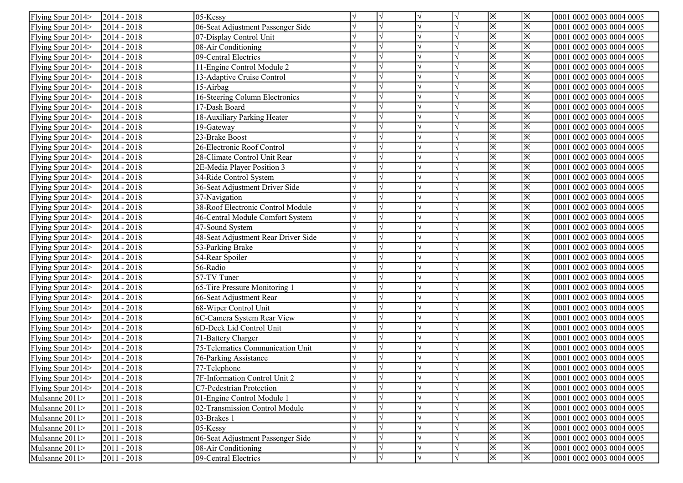| Flying Spur 2014> | $2014 - 2018$ | 05-Kessy                            |           | $\sqrt{}$             | ※  | l※ | 0001 0002 0003 0004 0005 |
|-------------------|---------------|-------------------------------------|-----------|-----------------------|----|----|--------------------------|
| Flying Spur 2014> | $2014 - 2018$ | 06-Seat Adjustment Passenger Side   |           | $\sqrt{ }$            | ※  | ※  | 0001 0002 0003 0004 0005 |
| Flying Spur 2014> | $2014 - 2018$ | 07-Display Control Unit             |           | $\sqrt{}$             | ※  | ※  | 0001 0002 0003 0004 0005 |
| Flying Spur 2014> | $2014 - 2018$ | 08-Air Conditioning                 |           | $\sqrt{}$             | ※  | ※  | 0001 0002 0003 0004 0005 |
| Flying Spur 2014> | $2014 - 2018$ | 09-Central Electrics                |           | $\sqrt{ }$            | ☀  | ※  | 0001 0002 0003 0004 0005 |
| Flying Spur 2014> | $2014 - 2018$ | 11-Engine Control Module 2          |           | $\sqrt{}$             | ※  | ※  | 0001 0002 0003 0004 0005 |
| Flying Spur 2014> | 2014 - 2018   | 13-Adaptive Cruise Control          |           | $\sqrt{}$             | ※  | ※  | 0001 0002 0003 0004 0005 |
| Flying Spur 2014> | $2014 - 2018$ | 15-Airbag                           |           | $\sqrt{ }$            | ☀  | ※  | 0001 0002 0003 0004 0005 |
| Flying Spur 2014> | $2014 - 2018$ | 16-Steering Column Electronics      |           |                       | ⋇  | ※  | 0001 0002 0003 0004 0005 |
| Flying Spur 2014> | $2014 - 2018$ | 17-Dash Board                       |           | $\sqrt{ }$            | ※  | ※  | 0001 0002 0003 0004 0005 |
| Flying Spur 2014> | $2014 - 2018$ | 18-Auxiliary Parking Heater         |           |                       | ※  | ※  | 0001 0002 0003 0004 0005 |
| Flying Spur 2014> | $2014 - 2018$ | 19-Gateway                          |           | V                     | Ж  | ※  | 0001 0002 0003 0004 0005 |
| Flying Spur 2014> | $2014 - 2018$ | 23-Brake Boost                      |           | $\sqrt{ }$            | Ж  | ※  | 0001 0002 0003 0004 0005 |
| Flying Spur 2014> | 2014 - 2018   | 26-Electronic Roof Control          |           | $\sqrt{ }$            | ※  | ※  | 0001 0002 0003 0004 0005 |
| Flying Spur 2014> | 2014 - 2018   | 28-Climate Control Unit Rear        |           | $\sqrt{}$             | ※  | ※  | 0001 0002 0003 0004 0005 |
| Flying Spur 2014> | $2014 - 2018$ | 2E-Media Player Position 3          |           | $\sqrt{ }$            | ※  | ※  | 0001 0002 0003 0004 0005 |
| Flying Spur 2014> | 2014 - 2018   | 34-Ride Control System              |           | $\sqrt{ }$            | ※  | ※  | 0001 0002 0003 0004 0005 |
| Flying Spur 2014> | $2014 - 2018$ | 36-Seat Adjustment Driver Side      |           | $\sqrt{ }$            | ※  | ※  | 0001 0002 0003 0004 0005 |
| Flying Spur 2014> | $2014 - 2018$ | 37-Navigation                       |           | $\overline{\sqrt{ }}$ | ※  | ※  | 0001 0002 0003 0004 0005 |
| Flying Spur 2014> | $2014 - 2018$ | 38-Roof Electronic Control Module   |           | $\sqrt{ }$            | ※  | ※  | 0001 0002 0003 0004 0005 |
| Flying Spur 2014> | $2014 - 2018$ | 46-Central Module Comfort System    |           | $\sqrt{ }$            | ⋇  | ※  | 0001 0002 0003 0004 0005 |
| Flying Spur 2014> | $2014 - 2018$ | 47-Sound System                     |           | $\sqrt{ }$            | ※  | ※  | 0001 0002 0003 0004 0005 |
| Flying Spur 2014> | $2014 - 2018$ | 48-Seat Adjustment Rear Driver Side |           | $\sqrt{}$             | ※  | ※  | 0001 0002 0003 0004 0005 |
| Flying Spur 2014> | $2014 - 2018$ | 53-Parking Brake                    |           | $\sqrt{}$             | ※  | ※  | 0001 0002 0003 0004 0005 |
| Flying Spur 2014> | $2014 - 2018$ | 54-Rear Spoiler                     |           | $\sqrt{ }$            | ☀  | ※  | 0001 0002 0003 0004 0005 |
| Flying Spur 2014> | $2014 - 2018$ | 56-Radio                            |           |                       | ※  | ※  | 0001 0002 0003 0004 0005 |
| Flying Spur 2014> | $2014 - 2018$ | $57-TV$ Tuner                       |           | $\sqrt{ }$            | ※  | ※  | 0001 0002 0003 0004 0005 |
| Flying Spur 2014> | $2014 - 2018$ | 65-Tire Pressure Monitoring 1       |           | $\sqrt{ }$            | ※  | ※  | 0001 0002 0003 0004 0005 |
| Flying Spur 2014> | $2014 - 2018$ | 66-Seat Adjustment Rear             |           | V                     | ※  | ※  | 0001 0002 0003 0004 0005 |
| Flying Spur 2014> | $2014 - 2018$ | 68-Wiper Control Unit               |           | $\sqrt{ }$            | ※  | ※  | 0001 0002 0003 0004 0005 |
| Flying Spur 2014> | 2014 - 2018   | 6C-Camera System Rear View          |           | $\sqrt{}$             | ※  | ※  | 0001 0002 0003 0004 0005 |
| Flying Spur 2014> | 2014 - 2018   | 6D-Deck Lid Control Unit            |           | $\sqrt{}$             | ※  | ※  | 0001 0002 0003 0004 0005 |
| Flying Spur 2014> | $2014 - 2018$ | 71-Battery Charger                  |           | $\sqrt{ }$            | ※  | ※  | 0001 0002 0003 0004 0005 |
| Flying Spur 2014> | $2014 - 2018$ | 75-Telematics Communication Unit    |           | $\sqrt{ }$            | ※  | ※  | 0001 0002 0003 0004 0005 |
| Flying Spur 2014> | $2014 - 2018$ | <b>76-Parking Assistance</b>        |           | $\overline{\sqrt{ }}$ | ※  | ※  | 0001 0002 0003 0004 0005 |
| Flying Spur 2014> | $2014 - 2018$ | 77-Telephone                        |           | $\sqrt{ }$            | ※  | ※  | 0001 0002 0003 0004 0005 |
| Flying Spur 2014> | $2014 - 2018$ | 7F-Information Control Unit 2       | V         | V                     | I⋇ | ※  | 0001 0002 0003 0004 0005 |
| Flying Spur 2014> | 2014 - 2018   | C7-Pedestrian Protection            |           |                       | ※  | ※  | 0001 0002 0003 0004 0005 |
| Mulsanne 2011>    | 2011 - 2018   | 01-Engine Control Module 1          |           | $\sqrt{ }$            | ※  | ※  | 0001 0002 0003 0004 0005 |
| Mulsanne 2011>    | 2011 - 2018   | 02-Transmission Control Module      |           |                       | ※  | ※  | 0001 0002 0003 0004 0005 |
| Mulsanne 2011>    | 2011 - 2018   | 03-Brakes 1                         |           |                       | ※  | ※  | 0001 0002 0003 0004 0005 |
| Mulsanne 2011>    | 2011 - 2018   | 05-Kessy                            |           |                       | ⋇  | ※  | 0001 0002 0003 0004 0005 |
| Mulsanne 2011>    | 2011 - 2018   | 06-Seat Adjustment Passenger Side   |           | $\sqrt{ }$            | ※  | ※  | 0001 0002 0003 0004 0005 |
| Mulsanne 2011>    | 2011 - 2018   | 08-Air Conditioning                 |           | $\sqrt{}$             | ※  | ※  | 0001 0002 0003 0004 0005 |
| Mulsanne 2011>    | 2011 - 2018   | 09-Central Electrics                | $\sqrt{}$ | $\sqrt{}$             | ※  | ※  | 0001 0002 0003 0004 0005 |